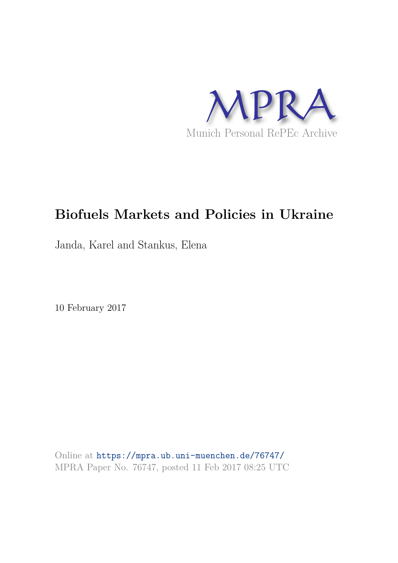

# **Biofuels Markets and Policies in Ukraine**

Janda, Karel and Stankus, Elena

10 February 2017

Online at https://mpra.ub.uni-muenchen.de/76747/ MPRA Paper No. 76747, posted 11 Feb 2017 08:25 UTC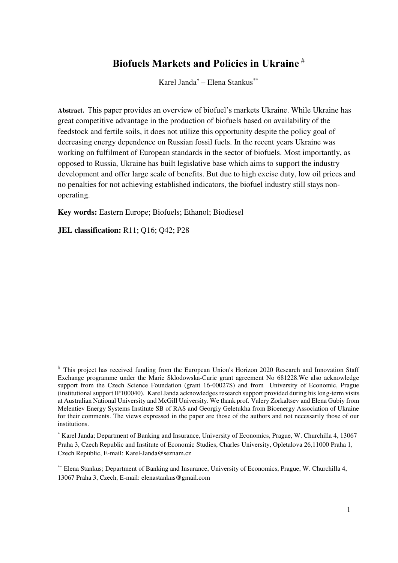### **Biofuels Markets and Policies in Ukraine**

Karel Janda*\** – Elena Stankus\*\*

**Abstract.** This paper provides an overview of biofuel's markets Ukraine. While Ukraine has great competitive advantage in the production of biofuels based on availability of the feedstock and fertile soils, it does not utilize this opportunity despite the policy goal of decreasing energy dependence on Russian fossil fuels. In the recent years Ukraine was working on fulfilment of European standards in the sector of biofuels. Most importantly, as opposed to Russia, Ukraine has built legislative base which aims to support the industry development and offer large scale of benefits. But due to high excise duty, low oil prices and no penalties for not achieving established indicators, the biofuel industry still stays nonoperating.

**Key words:** Eastern Europe; Biofuels; Ethanol; Biodiesel

**JEL classification:** R11; Q16; Q42; P28

 $\overline{a}$ 

 $*$  This project has received funding from the European Union's Horizon 2020 Research and Innovation Staff Exchange programme under the Marie Sklodowska-Curie grant agreement No 681228.We also acknowledge support from the Czech Science Foundation (grant 16-00027S) and from University of Economic, Prague (institutional support IP100040). Karel Janda acknowledges research support provided during his long-term visits at Australian National University and McGill University. We thank prof. Valery Zorkaltsev and Elena Gubiy from Melentiev Energy Systems Institute SB of RAS and Georgiy Geletukha from Bioenergy Association of Ukraine for their comments. The views expressed in the paper are those of the authors and not necessarily those of our institutions.

<sup>\*</sup> Karel Janda; Department of Banking and Insurance, University of Economics, Prague, W. Churchilla 4, 13067 Praha 3, Czech Republic and Institute of Economic Studies, Charles University, Opletalova 26,11000 Praha 1, Czech Republic, E-mail: Karel-Janda@seznam.cz

<sup>\*\*</sup> Elena Stankus; Department of Banking and Insurance, University of Economics, Prague, W. Churchilla 4, 13067 Praha 3, Czech, E-mail: elenastankus@gmail.com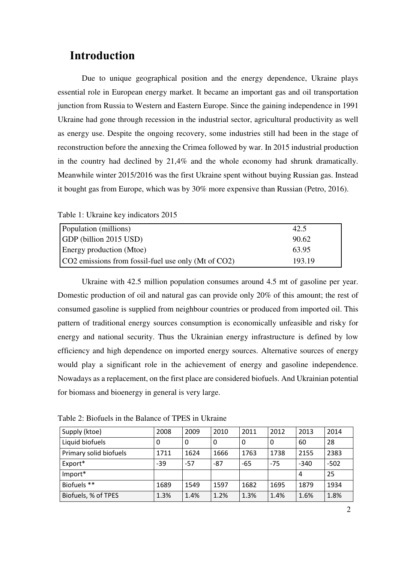### **Introduction**

Due to unique geographical position and the energy dependence, Ukraine plays essential role in European energy market. It became an important gas and oil transportation junction from Russia to Western and Eastern Europe. Since the gaining independence in 1991 Ukraine had gone through recession in the industrial sector, agricultural productivity as well as energy use. Despite the ongoing recovery, some industries still had been in the stage of reconstruction before the annexing the Crimea followed by war. In 2015 industrial production in the country had declined by 21,4% and the whole economy had shrunk dramatically. Meanwhile winter 2015/2016 was the first Ukraine spent without buying Russian gas. Instead it bought gas from Europe, which was by 30% more expensive than Russian (Petro, 2016).

| Table 1: Ukraine key indicators 2015 |  |
|--------------------------------------|--|
|--------------------------------------|--|

| Population (millions)                               | 42.5   |
|-----------------------------------------------------|--------|
| GDP (billion 2015 USD)                              | 90.62  |
| Energy production (Mtoe)                            | 63.95  |
| CO2 emissions from fossil-fuel use only (Mt of CO2) | 193.19 |

Ukraine with 42.5 million population consumes around 4.5 mt of gasoline per year. Domestic production of oil and natural gas can provide only 20% of this amount; the rest of consumed gasoline is supplied from neighbour countries or produced from imported oil. This pattern of traditional energy sources consumption is economically unfeasible and risky for energy and national security. Thus the Ukrainian energy infrastructure is defined by low efficiency and high dependence on imported energy sources. Alternative sources of energy would play a significant role in the achievement of energy and gasoline independence. Nowadays as a replacement, on the first place are considered biofuels. And Ukrainian potential for biomass and bioenergy in general is very large.

| Supply (ktoe)          | 2008  | 2009  | 2010  | 2011  | 2012  | 2013   | 2014   |
|------------------------|-------|-------|-------|-------|-------|--------|--------|
| Liquid biofuels        | 0     | 0     | 0     |       | 0     | 60     | 28     |
| Primary solid biofuels | 1711  | 1624  | 1666  | 1763  | 1738  | 2155   | 2383   |
| Export*                | $-39$ | $-57$ | $-87$ | $-65$ | $-75$ | $-340$ | $-502$ |
| Import*                |       |       |       |       |       | 4      | 25     |
| Biofuels **            | 1689  | 1549  | 1597  | 1682  | 1695  | 1879   | 1934   |
| Biofuels, % of TPES    | 1.3%  | 1.4%  | 1.2%  | 1.3%  | 1.4%  | 1.6%   | 1.8%   |

Table 2: Biofuels in the Balance of TPES in Ukraine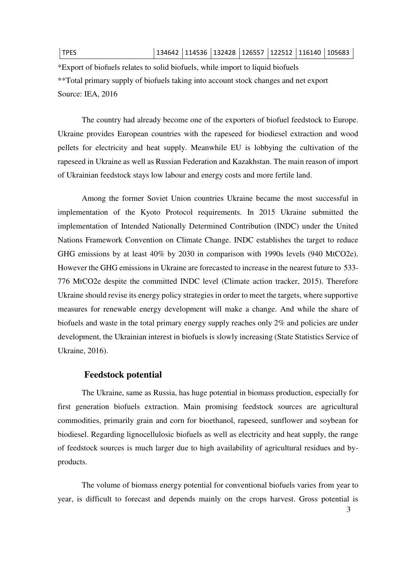#### TPES 134642 114536 132428 126557 122512 116140 105683

\*Export of biofuels relates to solid biofuels, while import to liquid biofuels \*\*Total primary supply of biofuels taking into account stock changes and net export Source: IEA, 2016

The country had already become one of the exporters of biofuel feedstock to Europe. Ukraine provides European countries with the rapeseed for biodiesel extraction and wood pellets for electricity and heat supply. Meanwhile EU is lobbying the cultivation of the rapeseed in Ukraine as well as Russian Federation and Kazakhstan. The main reason of import of Ukrainian feedstock stays low labour and energy costs and more fertile land.

Among the former Soviet Union countries Ukraine became the most successful in implementation of the Kyoto Protocol requirements. In 2015 Ukraine submitted the implementation of Intended Nationally Determined Contribution (INDC) under the United Nations Framework Convention on Climate Change. INDC establishes the target to reduce GHG emissions by at least 40% by 2030 in comparison with 1990s levels (940 MtCO2e). However the GHG emissions in Ukraine are forecasted to increase in the nearest future to 533- 776 MtCO2e despite the committed INDC level (Climate action tracker, 2015). Therefore Ukraine should revise its energy policy strategies in order to meet the targets, where supportive measures for renewable energy development will make a change. And while the share of biofuels and waste in the total primary energy supply reaches only 2% and policies are under development, the Ukrainian interest in biofuels is slowly increasing (State Statistics Service of Ukraine, 2016).

#### **Feedstock potential**

The Ukraine, same as Russia, has huge potential in biomass production, especially for first generation biofuels extraction. Main promising feedstock sources are agricultural commodities, primarily grain and corn for bioethanol, rapeseed, sunflower and soybean for biodiesel. Regarding lignocellulosic biofuels as well as electricity and heat supply, the range of feedstock sources is much larger due to high availability of agricultural residues and byproducts.

The volume of biomass energy potential for conventional biofuels varies from year to year, is difficult to forecast and depends mainly on the crops harvest. Gross potential is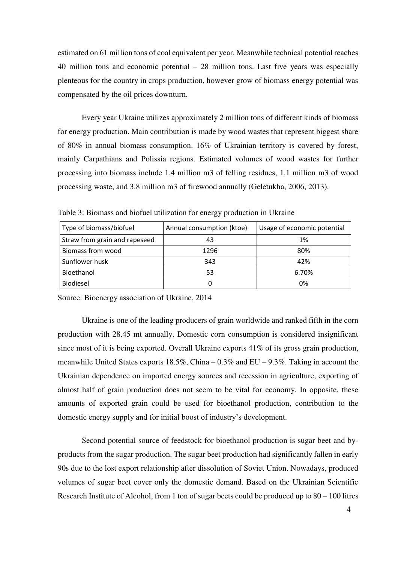estimated on 61 million tons of coal equivalent per year. Meanwhile technical potential reaches 40 million tons and economic potential – 28 million tons. Last five years was especially plenteous for the country in crops production, however grow of biomass energy potential was compensated by the oil prices downturn.

Every year Ukraine utilizes approximately 2 million tons of different kinds of biomass for energy production. Main contribution is made by wood wastes that represent biggest share of 80% in annual biomass consumption. 16% of Ukrainian territory is covered by forest, mainly Carpathians and Polissia regions. Estimated volumes of wood wastes for further processing into biomass include 1.4 million m3 of felling residues, 1.1 million m3 of wood processing waste, and 3.8 million m3 of firewood annually (Geletukha, 2006, 2013).

Table 3: Biomass and biofuel utilization for energy production in Ukraine

| Type of biomass/biofuel       | Annual consumption (ktoe) | Usage of economic potential |
|-------------------------------|---------------------------|-----------------------------|
| Straw from grain and rapeseed | 43                        | 1%                          |
| Biomass from wood             | 1296                      | 80%                         |
| Sunflower husk                | 343                       | 42%                         |
| Bioethanol                    | 53                        | 6.70%                       |
| Biodiesel                     |                           | 0%                          |

Source: Bioenergy association of Ukraine, 2014

Ukraine is one of the leading producers of grain worldwide and ranked fifth in the corn production with 28.45 mt annually. Domestic corn consumption is considered insignificant since most of it is being exported. Overall Ukraine exports 41% of its gross grain production, meanwhile United States exports 18.5%, China – 0.3% and EU – 9.3%. Taking in account the Ukrainian dependence on imported energy sources and recession in agriculture, exporting of almost half of grain production does not seem to be vital for economy. In opposite, these amounts of exported grain could be used for bioethanol production, contribution to the domestic energy supply and for initial boost of industry's development.

Second potential source of feedstock for bioethanol production is sugar beet and byproducts from the sugar production. The sugar beet production had significantly fallen in early 90s due to the lost export relationship after dissolution of Soviet Union. Nowadays, produced volumes of sugar beet cover only the domestic demand. Based on the Ukrainian Scientific Research Institute of Alcohol, from 1 ton of sugar beets could be produced up to 80 – 100 litres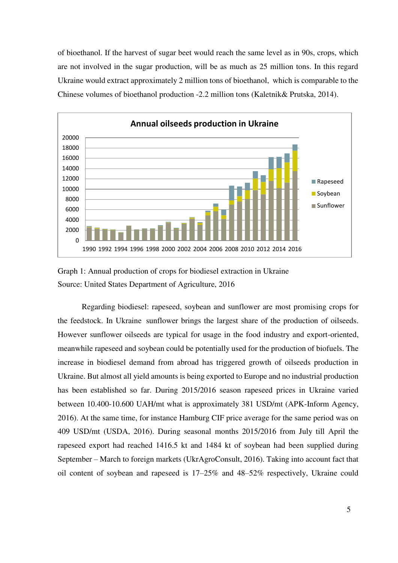of bioethanol. If the harvest of sugar beet would reach the same level as in 90s, crops, which are not involved in the sugar production, will be as much as 25 million tons. In this regard Ukraine would extract approximately 2 million tons of bioethanol, which is comparable to the Chinese volumes of bioethanol production -2.2 million tons (Kaletnik& Prutska, 2014).



Graph 1: Annual production of crops for biodiesel extraction in Ukraine Source: United States Department of Agriculture, 2016

Regarding biodiesel: rapeseed, soybean and sunflower are most promising crops for the feedstock. In Ukraine sunflower brings the largest share of the production of oilseeds. However sunflower oilseeds are typical for usage in the food industry and export-oriented, meanwhile rapeseed and soybean could be potentially used for the production of biofuels. The increase in biodiesel demand from abroad has triggered growth of oilseeds production in Ukraine. But almost all yield amounts is being exported to Europe and no industrial production has been established so far. During 2015/2016 season rapeseed prices in Ukraine varied between 10.400-10.600 UAH/mt what is approximately 381 USD/mt (APK-Inform Agency, 2016). At the same time, for instance Hamburg CIF price average for the same period was on 409 USD/mt (USDA, 2016). During seasonal months 2015/2016 from July till April the rapeseed export had reached 1416.5 kt and 1484 kt of soybean had been supplied during September – March to foreign markets (UkrAgroConsult, 2016). Taking into account fact that oil content of soybean and rapeseed is 17–25% and 48–52% respectively, Ukraine could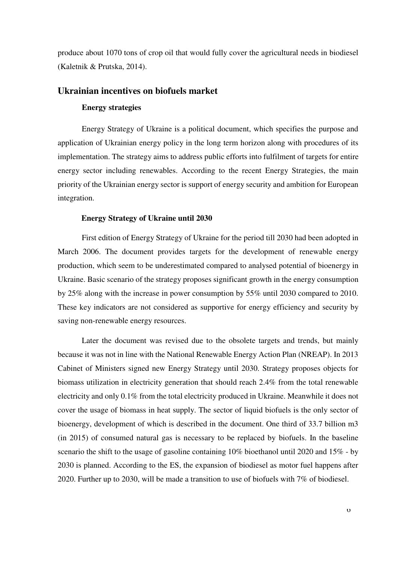produce about 1070 tons of crop oil that would fully cover the agricultural needs in biodiesel (Kaletnik & Prutska, 2014).

#### **Ukrainian incentives on biofuels market**

#### **Energy strategies**

Energy Strategy of Ukraine is a political document, which specifies the purpose and application of Ukrainian energy policy in the long term horizon along with procedures of its implementation. The strategy aims to address public efforts into fulfilment of targets for entire energy sector including renewables. According to the recent Energy Strategies, the main priority of the Ukrainian energy sector is support of energy security and ambition for European integration.

#### **Energy Strategy of Ukraine until 2030**

First edition of Energy Strategy of Ukraine for the period till 2030 had been adopted in March 2006. The document provides targets for the development of renewable energy production, which seem to be underestimated compared to analysed potential of bioenergy in Ukraine. Basic scenario of the strategy proposes significant growth in the energy consumption by 25% along with the increase in power consumption by 55% until 2030 compared to 2010. These key indicators are not considered as supportive for energy efficiency and security by saving non-renewable energy resources.

Later the document was revised due to the obsolete targets and trends, but mainly because it was not in line with the National Renewable Energy Action Plan (NREAP). In 2013 Cabinet of Ministers signed new Energy Strategy until 2030. Strategy proposes objects for biomass utilization in electricity generation that should reach 2.4% from the total renewable electricity and only 0.1% from the total electricity produced in Ukraine. Meanwhile it does not cover the usage of biomass in heat supply. The sector of liquid biofuels is the only sector of bioenergy, development of which is described in the document. One third of 33.7 billion m3 (in 2015) of consumed natural gas is necessary to be replaced by biofuels. In the baseline scenario the shift to the usage of gasoline containing 10% bioethanol until 2020 and 15% - by 2030 is planned. According to the ES, the expansion of biodiesel as motor fuel happens after 2020. Further up to 2030, will be made a transition to use of biofuels with 7% of biodiesel.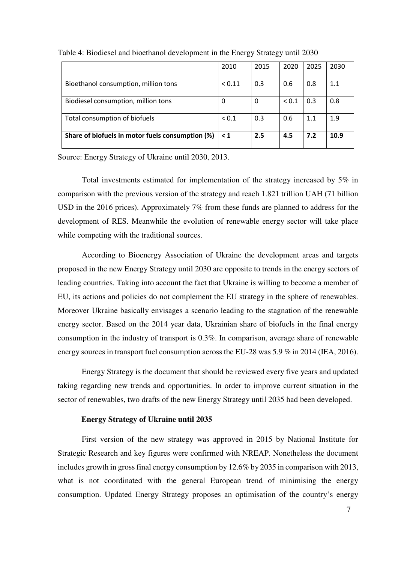|                                                  | 2010       | 2015 | 2020       | 2025 | 2030 |
|--------------------------------------------------|------------|------|------------|------|------|
| Bioethanol consumption, million tons             | ${}< 0.11$ | 0.3  | 0.6        | 0.8  | 1.1  |
| Biodiesel consumption, million tons              | 0          | 0    | ${}_{0.1}$ | 0.3  | 0.8  |
| Total consumption of biofuels                    | ${}_{0.1}$ | 0.3  | 0.6        | 1.1  | 1.9  |
| Share of biofuels in motor fuels consumption (%) | $\leq 1$   | 2.5  | 4.5        | 7.2  | 10.9 |

Table 4: Biodiesel and bioethanol development in the Energy Strategy until 2030

Source: Energy Strategy of Ukraine until 2030, 2013.

Total investments estimated for implementation of the strategy increased by 5% in comparison with the previous version of the strategy and reach 1.821 trillion UAH (71 billion USD in the 2016 prices). Approximately 7% from these funds are planned to address for the development of RES. Meanwhile the evolution of renewable energy sector will take place while competing with the traditional sources.

According to Bioenergy Association of Ukraine the development areas and targets proposed in the new Energy Strategy until 2030 are opposite to trends in the energy sectors of leading countries. Taking into account the fact that Ukraine is willing to become a member of EU, its actions and policies do not complement the EU strategy in the sphere of renewables. Moreover Ukraine basically envisages a scenario leading to the stagnation of the renewable energy sector. Based on the 2014 year data, Ukrainian share of biofuels in the final energy consumption in the industry of transport is 0.3%. In comparison, average share of renewable energy sources in transport fuel consumption across the EU-28 was 5.9 % in 2014 (IEA, 2016).

Energy Strategy is the document that should be reviewed every five years and updated taking regarding new trends and opportunities. In order to improve current situation in the sector of renewables, two drafts of the new Energy Strategy until 2035 had been developed.

#### **Energy Strategy of Ukraine until 2035**

First version of the new strategy was approved in 2015 by National Institute for Strategic Research and key figures were confirmed with NREAP. Nonetheless the document includes growth in gross final energy consumption by 12.6% by 2035 in comparison with 2013, what is not coordinated with the general European trend of minimising the energy consumption. Updated Energy Strategy proposes an optimisation of the country's energy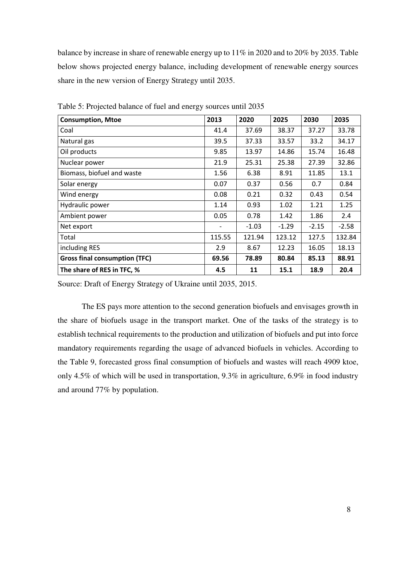balance by increase in share of renewable energy up to 11% in 2020 and to 20% by 2035. Table below shows projected energy balance, including development of renewable energy sources share in the new version of Energy Strategy until 2035.

| <b>Consumption, Mtoe</b>             | 2013                     | 2020    | 2025    | 2030    | 2035    |
|--------------------------------------|--------------------------|---------|---------|---------|---------|
| Coal                                 | 41.4                     | 37.69   | 38.37   | 37.27   | 33.78   |
| Natural gas                          | 39.5                     | 37.33   | 33.57   | 33.2    | 34.17   |
| Oil products                         | 9.85                     | 13.97   | 14.86   | 15.74   | 16.48   |
| Nuclear power                        | 21.9                     | 25.31   | 25.38   | 27.39   | 32.86   |
| Biomass, biofuel and waste           | 1.56                     | 6.38    | 8.91    | 11.85   | 13.1    |
| Solar energy                         | 0.07                     | 0.37    | 0.56    | 0.7     | 0.84    |
| Wind energy                          | 0.08                     | 0.21    | 0.32    | 0.43    | 0.54    |
| Hydraulic power                      | 1.14                     | 0.93    | 1.02    | 1.21    | 1.25    |
| Ambient power                        | 0.05                     | 0.78    | 1.42    | 1.86    | 2.4     |
| Net export                           | $\overline{\phantom{a}}$ | $-1.03$ | $-1.29$ | $-2.15$ | $-2.58$ |
| Total                                | 115.55                   | 121.94  | 123.12  | 127.5   | 132.84  |
| including RES                        | 2.9                      | 8.67    | 12.23   | 16.05   | 18.13   |
| <b>Gross final consumption (TFC)</b> | 69.56                    | 78.89   | 80.84   | 85.13   | 88.91   |
| The share of RES in TFC, %           | 4.5                      | 11      | 15.1    | 18.9    | 20.4    |

Table 5: Projected balance of fuel and energy sources until 2035

Source: Draft of Energy Strategy of Ukraine until 2035, 2015.

The ES pays more attention to the second generation biofuels and envisages growth in the share of biofuels usage in the transport market. One of the tasks of the strategy is to establish technical requirements to the production and utilization of biofuels and put into force mandatory requirements regarding the usage of advanced biofuels in vehicles. According to the Table 9, forecasted gross final consumption of biofuels and wastes will reach 4909 ktoe, only 4.5% of which will be used in transportation, 9.3% in agriculture, 6.9% in food industry and around 77% by population.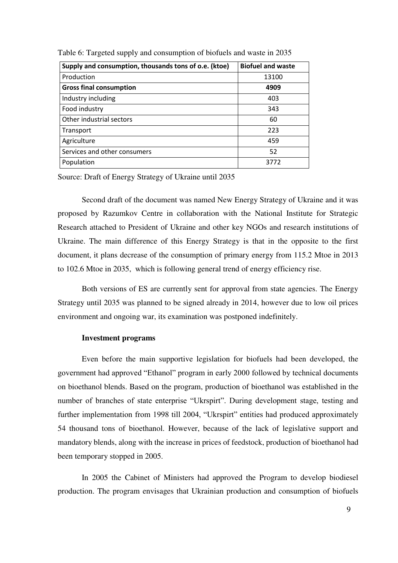| Supply and consumption, thousands tons of o.e. (ktoe) | <b>Biofuel and waste</b> |
|-------------------------------------------------------|--------------------------|
| Production                                            | 13100                    |
| <b>Gross final consumption</b>                        | 4909                     |
| Industry including                                    | 403                      |
| Food industry                                         | 343                      |
| Other industrial sectors                              | 60                       |
| Transport                                             | 223                      |
| Agriculture                                           | 459                      |
| Services and other consumers                          | 52                       |
| Population                                            | 3772                     |

Table 6: Targeted supply and consumption of biofuels and waste in 2035

Source: Draft of Energy Strategy of Ukraine until 2035

Second draft of the document was named New Energy Strategy of Ukraine and it was proposed by Razumkov Centre in collaboration with the National Institute for Strategic Research attached to President of Ukraine and other key NGOs and research institutions of Ukraine. The main difference of this Energy Strategy is that in the opposite to the first document, it plans decrease of the consumption of primary energy from 115.2 Mtoe in 2013 to 102.6 Mtoe in 2035, which is following general trend of energy efficiency rise.

Both versions of ES are currently sent for approval from state agencies. The Energy Strategy until 2035 was planned to be signed already in 2014, however due to low oil prices environment and ongoing war, its examination was postponed indefinitely.

#### **Investment programs**

Even before the main supportive legislation for biofuels had been developed, the government had approved "Ethanol" program in early 2000 followed by technical documents on bioethanol blends. Based on the program, production of bioethanol was established in the number of branches of state enterprise "Ukrspirt". During development stage, testing and further implementation from 1998 till 2004, "Ukrspirt" entities had produced approximately 54 thousand tons of bioethanol. However, because of the lack of legislative support and mandatory blends, along with the increase in prices of feedstock, production of bioethanol had been temporary stopped in 2005.

In 2005 the Cabinet of Ministers had approved the Program to develop biodiesel production. The program envisages that Ukrainian production and consumption of biofuels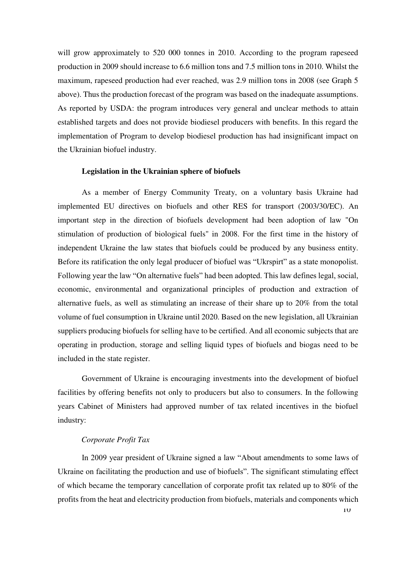will grow approximately to 520 000 tonnes in 2010. According to the program rapeseed production in 2009 should increase to 6.6 million tons and 7.5 million tons in 2010. Whilst the maximum, rapeseed production had ever reached, was 2.9 million tons in 2008 (see Graph 5 above). Thus the production forecast of the program was based on the inadequate assumptions. As reported by USDA: the program introduces very general and unclear methods to attain established targets and does not provide biodiesel producers with benefits. In this regard the implementation of Program to develop biodiesel production has had insignificant impact on the Ukrainian biofuel industry.

#### **Legislation in the Ukrainian sphere of biofuels**

As a member of Energy Community Treaty, on a voluntary basis Ukraine had implemented EU directives on biofuels and other RES for transport (2003/30/EC). An important step in the direction of biofuels development had been adoption of law "On stimulation of production of biological fuels" in 2008. For the first time in the history of independent Ukraine the law states that biofuels could be produced by any business entity. Before its ratification the only legal producer of biofuel was "Ukrspirt" as a state monopolist. Following year the law "On alternative fuels" had been adopted. This law defines legal, social, economic, environmental and organizational principles of production and extraction of alternative fuels, as well as stimulating an increase of their share up to 20% from the total volume of fuel consumption in Ukraine until 2020. Based on the new legislation, all Ukrainian suppliers producing biofuels for selling have to be certified. And all economic subjects that are operating in production, storage and selling liquid types of biofuels and biogas need to be included in the state register.

Government of Ukraine is encouraging investments into the development of biofuel facilities by offering benefits not only to producers but also to consumers. In the following years Cabinet of Ministers had approved number of tax related incentives in the biofuel industry:

#### *Corporate Profit Tax*

In 2009 year president of Ukraine signed a law "About amendments to some laws of Ukraine on facilitating the production and use of biofuels". The significant stimulating effect of which became the temporary cancellation of corporate profit tax related up to 80% of the profits from the heat and electricity production from biofuels, materials and components which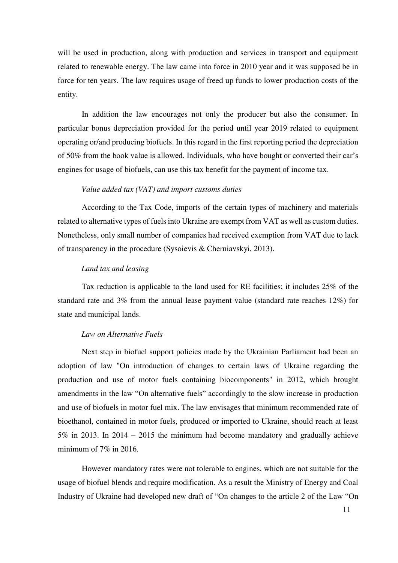will be used in production, along with production and services in transport and equipment related to renewable energy. The law came into force in 2010 year and it was supposed be in force for ten years. The law requires usage of freed up funds to lower production costs of the entity.

In addition the law encourages not only the producer but also the consumer. In particular bonus depreciation provided for the period until year 2019 related to equipment operating or/and producing biofuels. In this regard in the first reporting period the depreciation of 50% from the book value is allowed. Individuals, who have bought or converted their car's engines for usage of biofuels, can use this tax benefit for the payment of income tax.

#### *Value added tax (VAT) and import customs duties*

According to the Tax Code, imports of the certain types of machinery and materials related to alternative types of fuels into Ukraine are exempt from VAT as well as custom duties. Nonetheless, only small number of companies had received exemption from VAT due to lack of transparency in the procedure (Sysoievis & Cherniavskyi, 2013).

#### *Land tax and leasing*

Tax reduction is applicable to the land used for RE facilities; it includes 25% of the standard rate and 3% from the annual lease payment value (standard rate reaches 12%) for state and municipal lands.

#### *Law on Alternative Fuels*

Next step in biofuel support policies made by the Ukrainian Parliament had been an adoption of law "On introduction of changes to certain laws of Ukraine regarding the production and use of motor fuels containing biocomponents" in 2012, which brought amendments in the law "On alternative fuels" accordingly to the slow increase in production and use of biofuels in motor fuel mix. The law envisages that minimum recommended rate of bioethanol, contained in motor fuels, produced or imported to Ukraine, should reach at least 5% in 2013. In 2014 – 2015 the minimum had become mandatory and gradually achieve minimum of  $7\%$  in 2016.

However mandatory rates were not tolerable to engines, which are not suitable for the usage of biofuel blends and require modification. As a result the Ministry of Energy and Coal Industry of Ukraine had developed new draft of "On changes to the article 2 of the Law "On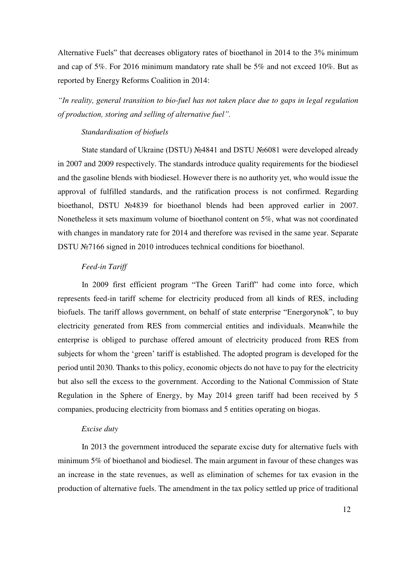Alternative Fuels" that decreases obligatory rates of bioethanol in 2014 to the 3% minimum and cap of 5%. For 2016 minimum mandatory rate shall be 5% and not exceed 10%. But as reported by Energy Reforms Coalition in 2014:

*"In reality, general transition to bio-fuel has not taken place due to gaps in legal regulation of production, storing and selling of alternative fuel".*

#### *Standardisation of biofuels*

State standard of Ukraine (DSTU) №4841 and DSTU №6081 were developed already in 2007 and 2009 respectively. The standards introduce quality requirements for the biodiesel and the gasoline blends with biodiesel. However there is no authority yet, who would issue the approval of fulfilled standards, and the ratification process is not confirmed. Regarding bioethanol, DSTU №4839 for bioethanol blends had been approved earlier in 2007. Nonetheless it sets maximum volume of bioethanol content on 5%, what was not coordinated with changes in mandatory rate for 2014 and therefore was revised in the same year. Separate DSTU №7166 signed in 2010 introduces technical conditions for bioethanol.

#### *Feed-in Tariff*

In 2009 first efficient program "The Green Tariff" had come into force, which represents feed-in tariff scheme for electricity produced from all kinds of RES, including biofuels. The tariff allows government, on behalf of state enterprise "Energorynok", to buy electricity generated from RES from commercial entities and individuals. Meanwhile the enterprise is obliged to purchase offered amount of electricity produced from RES from subjects for whom the 'green' tariff is established. The adopted program is developed for the period until 2030. Thanks to this policy, economic objects do not have to pay for the electricity but also sell the excess to the government. According to the National Commission of State Regulation in the Sphere of Energy, by May 2014 green tariff had been received by 5 companies, producing electricity from biomass and 5 entities operating on biogas.

#### *Excise duty*

In 2013 the government introduced the separate excise duty for alternative fuels with minimum 5% of bioethanol and biodiesel. The main argument in favour of these changes was an increase in the state revenues, as well as elimination of schemes for tax evasion in the production of alternative fuels. The amendment in the tax policy settled up price of traditional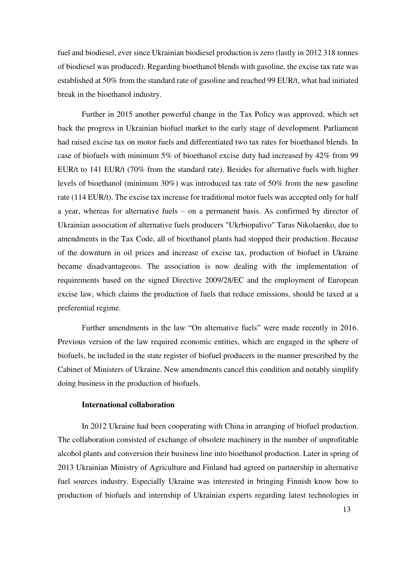fuel and biodiesel, ever since Ukrainian biodiesel production is zero (lastly in 2012 318 tonnes of biodiesel was produced). Regarding bioethanol blends with gasoline, the excise tax rate was established at 50% from the standard rate of gasoline and reached 99 EUR/t, what had initiated break in the bioethanol industry.

Further in 2015 another powerful change in the Tax Policy was approved, which set back the progress in Ukrainian biofuel market to the early stage of development. Parliament had raised excise tax on motor fuels and differentiated two tax rates for bioethanol blends. In case of biofuels with minimum 5% of bioethanol excise duty had increased by 42% from 99 EUR/t to 141 EUR/t (70% from the standard rate). Besides for alternative fuels with higher levels of bioethanol (minimum 30%) was introduced tax rate of 50% from the new gasoline rate (114 EUR/t). The excise tax increase for traditional motor fuels was accepted only for half a year, whereas for alternative fuels – on a permanent basis. As confirmed by director of Ukrainian association of alternative fuels producers "Ukrbiopalivo" Taras Nikolaenko, due to amendments in the Tax Code, all of bioethanol plants had stopped their production. Because of the downturn in oil prices and increase of excise tax, production of biofuel in Ukraine became disadvantageous. The association is now dealing with the implementation of requirements based on the signed Directive 2009/28/EC and the employment of European excise law, which claims the production of fuels that reduce emissions, should be taxed at a preferential regime.

Further amendments in the law "On alternative fuels" were made recently in 2016. Previous version of the law required economic entities, which are engaged in the sphere of biofuels, be included in the state register of biofuel producers in the manner prescribed by the Cabinet of Ministers of Ukraine. New amendments cancel this condition and notably simplify doing business in the production of biofuels.

#### **International collaboration**

In 2012 Ukraine had been cooperating with China in arranging of biofuel production. The collaboration consisted of exchange of obsolete machinery in the number of unprofitable alcohol plants and conversion their business line into bioethanol production. Later in spring of 2013 Ukrainian Ministry of Agriculture and Finland had agreed on partnership in alternative fuel sources industry. Especially Ukraine was interested in bringing Finnish know how to production of biofuels and internship of Ukrainian experts regarding latest technologies in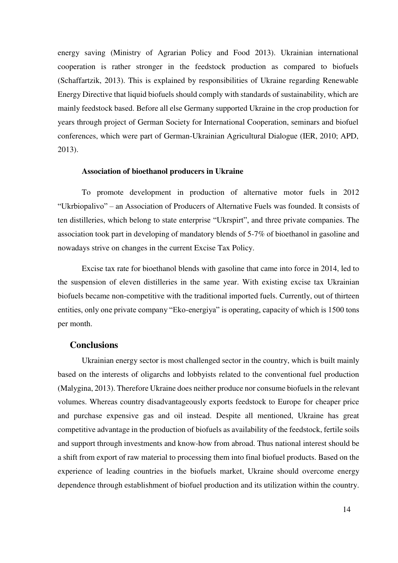energy saving (Ministry of Agrarian Policy and Food 2013). Ukrainian international cooperation is rather stronger in the feedstock production as compared to biofuels (Schaffartzik, 2013). This is explained by responsibilities of Ukraine regarding Renewable Energy Directive that liquid biofuels should comply with standards of sustainability, which are mainly feedstock based. Before all else Germany supported Ukraine in the crop production for years through project of German Society for International Cooperation, seminars and biofuel conferences, which were part of German-Ukrainian Agricultural Dialogue (IER, 2010; APD, 2013).

#### **Association of bioethanol producers in Ukraine**

To promote development in production of alternative motor fuels in 2012 "Ukrbiopalivo" – an Association of Producers of Alternative Fuels was founded. It consists of ten distilleries, which belong to state enterprise "Ukrspirt", and three private companies. The association took part in developing of mandatory blends of 5-7% of bioethanol in gasoline and nowadays strive on changes in the current Excise Tax Policy.

Excise tax rate for bioethanol blends with gasoline that came into force in 2014, led to the suspension of eleven distilleries in the same year. With existing excise tax Ukrainian biofuels became non-competitive with the traditional imported fuels. Currently, out of thirteen entities, only one private company "Eko-energiya" is operating, capacity of which is 1500 tons per month.

#### **Conclusions**

Ukrainian energy sector is most challenged sector in the country, which is built mainly based on the interests of oligarchs and lobbyists related to the conventional fuel production (Malygina, 2013). Therefore Ukraine does neither produce nor consume biofuels in the relevant volumes. Whereas country disadvantageously exports feedstock to Europe for cheaper price and purchase expensive gas and oil instead. Despite all mentioned, Ukraine has great competitive advantage in the production of biofuels as availability of the feedstock, fertile soils and support through investments and know-how from abroad. Thus national interest should be a shift from export of raw material to processing them into final biofuel products. Based on the experience of leading countries in the biofuels market, Ukraine should overcome energy dependence through establishment of biofuel production and its utilization within the country.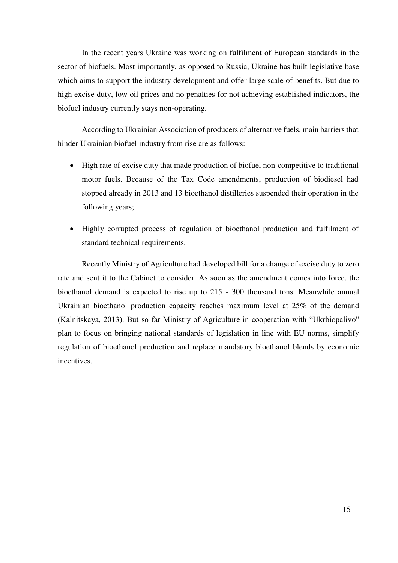In the recent years Ukraine was working on fulfilment of European standards in the sector of biofuels. Most importantly, as opposed to Russia, Ukraine has built legislative base which aims to support the industry development and offer large scale of benefits. But due to high excise duty, low oil prices and no penalties for not achieving established indicators, the biofuel industry currently stays non-operating.

According to Ukrainian Association of producers of alternative fuels, main barriers that hinder Ukrainian biofuel industry from rise are as follows:

- High rate of excise duty that made production of biofuel non-competitive to traditional motor fuels. Because of the Tax Code amendments, production of biodiesel had stopped already in 2013 and 13 bioethanol distilleries suspended their operation in the following years;
- Highly corrupted process of regulation of bioethanol production and fulfilment of standard technical requirements.

Recently Ministry of Agriculture had developed bill for a change of excise duty to zero rate and sent it to the Cabinet to consider. As soon as the amendment comes into force, the bioethanol demand is expected to rise up to 215 - 300 thousand tons. Meanwhile annual Ukrainian bioethanol production capacity reaches maximum level at 25% of the demand (Kalnitskaya, 2013). But so far Ministry of Agriculture in cooperation with "Ukrbiopalivo" plan to focus on bringing national standards of legislation in line with EU norms, simplify regulation of bioethanol production and replace mandatory bioethanol blends by economic incentives.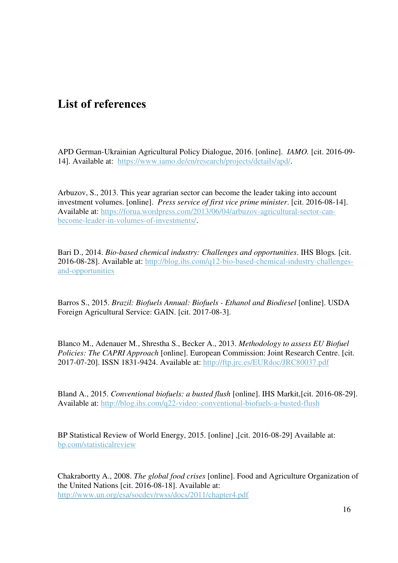### **List of references**

APD German-Ukrainian Agricultural Policy Dialogue, 2016. [online]. *IAMO.* [cit. 2016-09- 14]. Available at: [https://www.iamo.de/en/research/projects/details/apd/.](https://www.iamo.de/en/research/projects/details/apd/)

Arbuzov, S., 2013. This year agrarian sector can become the leader taking into account investment volumes. [online]. *Press service of first vice prime minister*. [cit. 2016-08-14]. Available at: [https://forua.wordpress.com/2013/06/04/arbuzov-agricultural-sector-can](https://forua.wordpress.com/2013/06/04/arbuzov-agricultural-sector-can-become-leader-in-volumes-of-investments/)[become-leader-in-volumes-of-investments/.](https://forua.wordpress.com/2013/06/04/arbuzov-agricultural-sector-can-become-leader-in-volumes-of-investments/)

Bari D., 2014. *Bio-based chemical industry: Challenges and opportunities*. IHS Blogs*.* [cit. 2016-08-28]. Available at: [http://blog.ihs.com/q12-bio-based-chemical-industry-challenges](http://blog.ihs.com/q12-bio-based-chemical-industry-challenges-and-opportunities)[and-opportunities](http://blog.ihs.com/q12-bio-based-chemical-industry-challenges-and-opportunities) 

Barros S., 2015. *Brazil: Biofuels Annual: Biofuels - Ethanol and Biodiesel* [online]. USDA Foreign Agricultural Service: GAIN. [cit. 2017-08-3].

Blanco M., Adenauer M., Shrestha S., Becker A., 2013. *Methodology to assess EU Biofuel Policies: The CAPRI Approach* [online]. European Commission: Joint Research Centre. [cit. 2017-07-20]. ISSN 1831-9424. Available at:<http://ftp.jrc.es/EURdoc/JRC80037.pdf>

Bland A., 2015. *Conventional biofuels: a busted flush* [online]. IHS Markit,[cit. 2016-08-29]. Available at:<http://blog.ihs.com/q22-video:-conventional-biofuels-a-busted-flush>

BP Statistical Review of World Energy, 2015. [online] ,[cit. 2016-08-29] Available at: bp.com/statisticalreview

Chakrabortty A., 2008. *The global food crises* [online]. Food and Agriculture Organization of the United Nations [cit. 2016-08-18]. Available at: <http://www.un.org/esa/socdev/rwss/docs/2011/chapter4.pdf>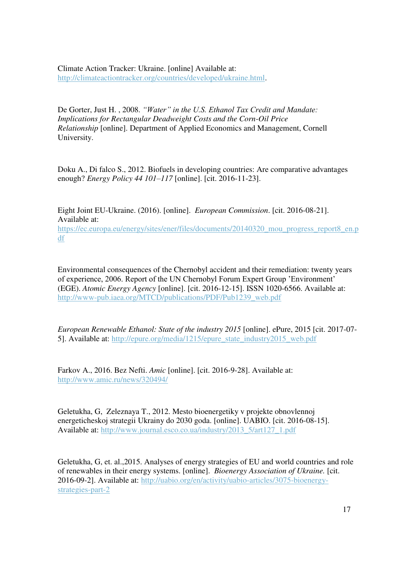Climate Action Tracker: Ukraine. [online] Available at: [http://climateactiontracker.org/countries/developed/ukraine.html.](http://climateactiontracker.org/countries/developed/ukraine.html)

De Gorter, Just H. , 2008. *"Water" in the U.S. Ethanol Tax Credit and Mandate: Implications for Rectangular Deadweight Costs and the Corn-Oil Price Relationship* [online]. Department of Applied Economics and Management, Cornell University.

Doku A., Di falco S., 2012. Biofuels in developing countries: Are comparative advantages enough? *Energy Policy 44 101–117* [online]. [cit. 2016-11-23].

Eight Joint EU-Ukraine. (2016). [online]. *European Commission*. [cit. 2016-08-21]. Available at: [https://ec.europa.eu/energy/sites/ener/files/documents/20140320\\_mou\\_progress\\_report8\\_en.p](https://ec.europa.eu/energy/sites/ener/files/documents/20140320_mou_progress_report8_en.pdf) [df](https://ec.europa.eu/energy/sites/ener/files/documents/20140320_mou_progress_report8_en.pdf) 

Environmental consequences of the Chernobyl accident and their remediation: twenty years of experience, 2006. Report of the UN Chernobyl Forum Expert Group 'Environment' (EGE). *Atomic Energy Agency* [online]. [cit. 2016-12-15]. ISSN 1020-6566. Available at: [http://www-pub.iaea.org/MTCD/publications/PDF/Pub1239\\_web.pdf](http://www-pub.iaea.org/MTCD/publications/PDF/Pub1239_web.pdf) 

*European Renewable Ethanol: State of the industry 2015* [online]. ePure, 2015 [cit. 2017-07- 5]. Available at: [http://epure.org/media/1215/epure\\_state\\_industry2015\\_web.pdf](http://epure.org/media/1215/epure_state_industry2015_web.pdf) 

Farkov A., 2016. Bez Nefti. *Amic* [online]. [cit. 2016-9-28]. Available at: <http://www.amic.ru/news/320494/>

Geletukha, G, Zeleznaya T., 2012. Mesto bioenergetiky v projekte obnovlennoj energeticheskoj strategii Ukrainy do 2030 goda. [online]. UABIO. [cit. 2016-08-15]. Available at: http://www.journal.esco.co.ua/industry/2013\_5/art127\_1.pdf

Geletukha, G, et. al.,2015. Analyses of energy strategies of EU and world countries and role of renewables in their energy systems. [online]. *Bioenergy Association of Ukraine.* [cit. 2016-09-2]. Available at: [http://uabio.org/en/activity/uabio-articles/3075-bioenergy](http://uabio.org/en/activity/uabio-articles/3075-bioenergy-strategies-part-2)[strategies-part-2](http://uabio.org/en/activity/uabio-articles/3075-bioenergy-strategies-part-2)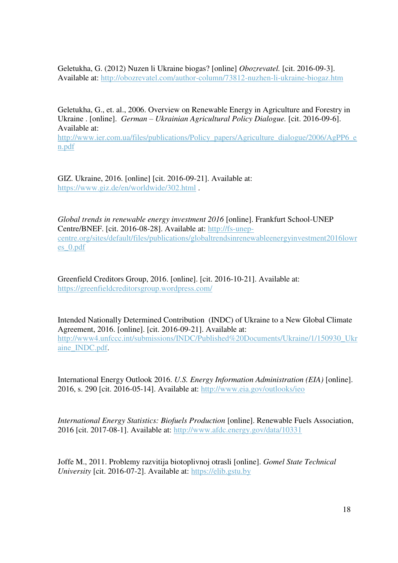Geletukha, G. (2012) Nuzen li Ukraine biogas? [online] *Obozrevatel.* [cit. 2016-09-3]. Available at:<http://obozrevatel.com/author-column/73812-nuzhen-li-ukraine-biogaz.htm>

Geletukha, G., et. al., 2006. Overview on Renewable Energy in Agriculture and Forestry in Ukraine . [online]. *German – Ukrainian Agricultural Policy Dialogue.* [cit. 2016-09-6]. Available at:

[http://www.ier.com.ua/files/publications/Policy\\_papers/Agriculture\\_dialogue/2006/AgPP6\\_e](http://www.ier.com.ua/files/publications/Policy_papers/Agriculture_dialogue/2006/AgPP6_en.pdf) [n.pdf](http://www.ier.com.ua/files/publications/Policy_papers/Agriculture_dialogue/2006/AgPP6_en.pdf) 

GIZ. Ukraine, 2016. [online] [cit. 2016-09-21]. Available at: <https://www.giz.de/en/worldwide/302.html>.

*Global trends in renewable energy investment 2016* [online]. Frankfurt School-UNEP Centre/BNEF. [cit. 2016-08-28]. Available at: [http://fs-unep](http://fs-unep-centre.org/sites/default/files/publications/globaltrendsinrenewableenergyinvestment2016lowres_0.pdf)[centre.org/sites/default/files/publications/globaltrendsinrenewableenergyinvestment2016lowr](http://fs-unep-centre.org/sites/default/files/publications/globaltrendsinrenewableenergyinvestment2016lowres_0.pdf) [es\\_0.pdf](http://fs-unep-centre.org/sites/default/files/publications/globaltrendsinrenewableenergyinvestment2016lowres_0.pdf) 

Greenfield Creditors Group, 2016. [online]. [cit. 2016-10-21]. Available at: <https://greenfieldcreditorsgroup.wordpress.com/>

Intended Nationally Determined Contribution (INDC) of Ukraine to a New Global Climate Agreement, 2016. [online]. [cit. 2016-09-21]. Available at: [http://www4.unfccc.int/submissions/INDC/Published%20Documents/Ukraine/1/150930\\_Ukr](http://www4.unfccc.int/submissions/INDC/Published%20Documents/Ukraine/1/150930_Ukraine_INDC.pdf) [aine\\_INDC.pdf.](http://www4.unfccc.int/submissions/INDC/Published%20Documents/Ukraine/1/150930_Ukraine_INDC.pdf)

International Energy Outlook 2016. *U.S. Energy Information Administration (EIA)* [online]. 2016, s. 290 [cit. 2016-05-14]. Available at:<http://www.eia.gov/outlooks/ieo>

*International Energy Statistics: Biofuels Production* [online]. Renewable Fuels Association, 2016 [cit. 2017-08-1]. Available at:<http://www.afdc.energy.gov/data/10331>

Joffe M., 2011. Problemy razvitija biotoplivnoj otrasli [online]. *Gomel State Technical University* [cit. 2016-07-2]. Available at: [https://elib.gstu.by](https://elib.gstu.by/)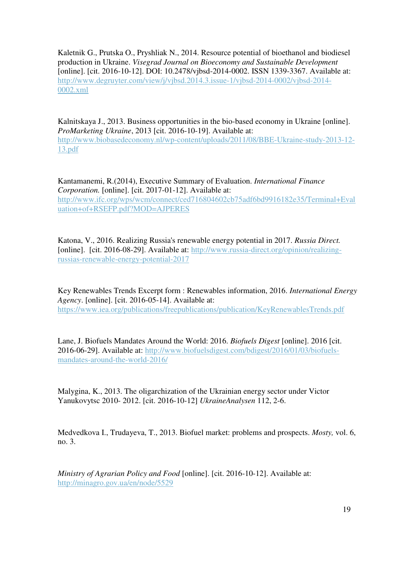Kaletnik G., Prutska O., Pryshliak N., 2014. Resource potential of bioethanol and biodiesel production in Ukraine. *Visegrad Journal on Bioeconomy and Sustainable Development* [online]. [cit. 2016-10-12]. DOI: 10.2478/vjbsd-2014-0002. ISSN 1339-3367. Available at: [http://www.degruyter.com/view/j/vjbsd.2014.3.issue-1/vjbsd-2014-0002/vjbsd-2014-](http://www.degruyter.com/view/j/vjbsd.2014.3.issue-1/vjbsd-2014-0002/vjbsd-2014-0002.xml) [0002.xml](http://www.degruyter.com/view/j/vjbsd.2014.3.issue-1/vjbsd-2014-0002/vjbsd-2014-0002.xml) 

Kalnitskaya J., 2013. Business opportunities in the bio-based economy in Ukraine [online]. *ProMarketing Ukraine*, 2013 [cit. 2016-10-19]. Available at:

[http://www.biobasedeconomy.nl/wp-content/uploads/2011/08/BBE-Ukraine-study-2013-12-](http://www.biobasedeconomy.nl/wp-content/uploads/2011/08/BBE-Ukraine-study-2013-12-13.pdf) [13.pdf](http://www.biobasedeconomy.nl/wp-content/uploads/2011/08/BBE-Ukraine-study-2013-12-13.pdf) 

Kantamanemi, R.(2014), Executive Summary of Evaluation. *International Finance Corporation.* [online]. [cit. 2017-01-12]. Available at: [http://www.ifc.org/wps/wcm/connect/ced716804602cb75adf6bd9916182e35/Terminal+Eval](http://www.ifc.org/wps/wcm/connect/ced716804602cb75adf6bd9916182e35/Terminal+Evaluation+of+RSEFP.pdf?MOD=AJPERES) [uation+of+RSEFP.pdf?MOD=AJPERES](http://www.ifc.org/wps/wcm/connect/ced716804602cb75adf6bd9916182e35/Terminal+Evaluation+of+RSEFP.pdf?MOD=AJPERES) 

Katona, V., 2016. Realizing Russia's renewable energy potential in 2017. *Russia Direct.* [online]. [cit. 2016-08-29]. Available at: [http://www.russia-direct.org/opinion/realizing](http://www.russia-direct.org/opinion/realizing-russias-renewable-energy-potential-2017)[russias-renewable-energy-potential-2017](http://www.russia-direct.org/opinion/realizing-russias-renewable-energy-potential-2017) 

Key Renewables Trends Excerpt form : Renewables information, 2016. *International Energy Agency*. [online]. [cit. 2016-05-14]. Available at: <https://www.iea.org/publications/freepublications/publication/KeyRenewablesTrends.pdf>

Lane, J. Biofuels Mandates Around the World: 2016. *Biofuels Digest* [online]. 2016 [cit. 2016-06-29]. Available at: [http://www.biofuelsdigest.com/bdigest/2016/01/03/biofuels](http://www.biofuelsdigest.com/bdigest/2016/01/03/biofuels-mandates-around-the-world-2016/)[mandates-around-the-world-2016/](http://www.biofuelsdigest.com/bdigest/2016/01/03/biofuels-mandates-around-the-world-2016/) 

Malygina, K., 2013. The oligarchization of the Ukrainian energy sector under Victor Yanukovytsc 2010- 2012. [cit. 2016-10-12] *UkraineAnalysen* 112, 2-6.

Medvedkova I., Trudayeva, T., 2013. Biofuel market: problems and prospects. *Mosty,* vol. 6, no. 3.

*Ministry of Agrarian Policy and Food* [online]. [cit. 2016-10-12]. Available at: <http://minagro.gov.ua/en/node/5529>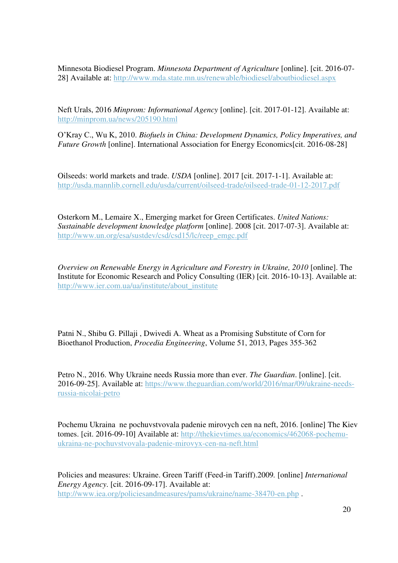Minnesota Biodiesel Program. *Minnesota Department of Agriculture* [online]. [cit. 2016-07- 28] Available at:<http://www.mda.state.mn.us/renewable/biodiesel/aboutbiodiesel.aspx>

Neft Urals, 2016 *Minprom: Informational Agency* [online]. [cit. 2017-01-12]. Available at: <http://minprom.ua/news/205190.html>

O'Kray C., Wu K, 2010. *Biofuels in China: Development Dynamics, Policy Imperatives, and Future Growth* [online]. International Association for Energy Economics [cit. 2016-08-28]

Oilseeds: world markets and trade. *USDA* [online]. 2017 [cit. 2017-1-1]. Available at: <http://usda.mannlib.cornell.edu/usda/current/oilseed-trade/oilseed-trade-01-12-2017.pdf>

Osterkorn M., Lemaire X., Emerging market for Green Certificates. *United Nations: Sustainable development knowledge platform* [online]. 2008 [cit. 2017-07-3]. Available at: [http://www.un.org/esa/sustdev/csd/csd15/lc/reep\\_emgc.pdf](http://www.un.org/esa/sustdev/csd/csd15/lc/reep_emgc.pdf) 

*Overview on Renewable Energy in Agriculture and Forestry in Ukraine, 2010* [online]. The Institute for Economic Research and Policy Consulting (IER) [cit. 2016-10-13]. Available at: [http://www.ier.com.ua/ua/institute/about\\_institute](http://www.ier.com.ua/ua/institute/about_institute) 

Patni N., Shibu G. Pillaji , Dwivedi A. Wheat as a Promising Substitute of Corn for Bioethanol Production, *Procedia Engineering*, Volume 51, 2013, Pages 355-362

Petro N., 2016. Why Ukraine needs Russia more than ever. *The Guardian*. [online]. [cit. 2016-09-25]. Available at: [https://www.theguardian.com/world/2016/mar/09/ukraine-needs](https://www.theguardian.com/world/2016/mar/09/ukraine-needs-russia-nicolai-petro)[russia-nicolai-petro](https://www.theguardian.com/world/2016/mar/09/ukraine-needs-russia-nicolai-petro) 

Pochemu Ukraina ne pochuvstvovala padenie mirovych cen na neft, 2016. [online] The Kiev tomes. [cit. 2016-09-10] Available at: [http://thekievtimes.ua/economics/462068-pochemu](http://thekievtimes.ua/economics/462068-pochemu-ukraina-ne-pochuvstvovala-padenie-mirovyx-cen-na-neft.html)[ukraina-ne-pochuvstvovala-padenie-mirovyx-cen-na-neft.html](http://thekievtimes.ua/economics/462068-pochemu-ukraina-ne-pochuvstvovala-padenie-mirovyx-cen-na-neft.html) 

Policies and measures: Ukraine. Green Tariff (Feed-in Tariff).2009*.* [online] *International Energy Agency*. [cit. 2016-09-17]. Available at: <http://www.iea.org/policiesandmeasures/pams/ukraine/name-38470-en.php>.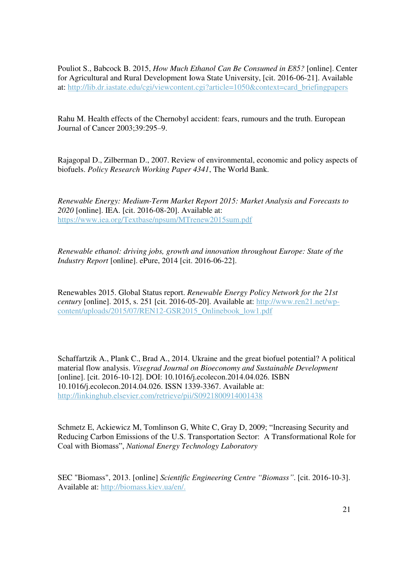Pouliot S., Babcock B. 2015, *How Much Ethanol Can Be Consumed in E85?* [online]. Center for Agricultural and Rural Development Iowa State University, [cit. 2016-06-21]. Available at: [http://lib.dr.iastate.edu/cgi/viewcontent.cgi?article=1050&context=card\\_briefingpapers](http://lib.dr.iastate.edu/cgi/viewcontent.cgi?article=1050&context=card_briefingpapers) 

Rahu M. Health effects of the Chernobyl accident: fears, rumours and the truth. European Journal of Cancer 2003;39:295–9.

Rajagopal D., Zilberman D., 2007. Review of environmental, economic and policy aspects of biofuels. *Policy Research Working Paper 4341*, The World Bank.

*Renewable Energy: Medium-Term Market Report 2015: Market Analysis and Forecasts to 2020* [online]. IEA. [cit. 2016-08-20]. Available at: <https://www.iea.org/Textbase/npsum/MTrenew2015sum.pdf>

*Renewable ethanol: driving jobs, growth and innovation throughout Europe: State of the Industry Report* [online]. ePure, 2014 [cit. 2016-06-22].

Renewables 2015. Global Status report. *Renewable Energy Policy Network for the 21st century* [online]. 2015, s. 251 [cit. 2016-05-20]. Available at: [http://www.ren21.net/wp](http://www.ren21.net/wp-content/uploads/2015/07/REN12-GSR2015_Onlinebook_low1.pdf)[content/uploads/2015/07/REN12-GSR2015\\_Onlinebook\\_low1.pdf](http://www.ren21.net/wp-content/uploads/2015/07/REN12-GSR2015_Onlinebook_low1.pdf) 

Schaffartzik A., Plank C., Brad A., 2014. Ukraine and the great biofuel potential? A political material flow analysis. *Visegrad Journal on Bioeconomy and Sustainable Development* [online]. [cit. 2016-10-12]. DOI: 10.1016/j.ecolecon.2014.04.026. ISBN 10.1016/j.ecolecon.2014.04.026. ISSN 1339-3367. Available at: <http://linkinghub.elsevier.com/retrieve/pii/S0921800914001438>

Schmetz E, Ackiewicz M, Tomlinson G, White C, Gray D, 2009; "Increasing Security and Reducing Carbon Emissions of the U.S. Transportation Sector: A Transformational Role for Coal with Biomass", *National Energy Technology Laboratory* 

SEC "Biomass", 2013. [online] *Scientific Engineering Centre "Biomass"*. [cit. 2016-10-3]. Available at: [http://biomass.kiev.ua/en/.](http://biomass.kiev.ua/en/)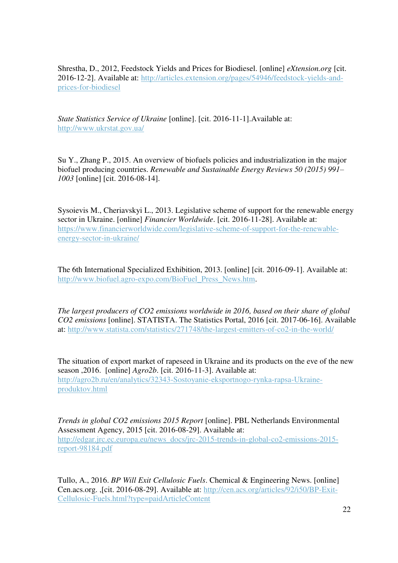Shrestha, D., 2012, Feedstock Yields and Prices for Biodiesel. [online] *eXtension.org* [cit. 2016-12-2]. Available at: [http://articles.extension.org/pages/54946/feedstock-yields-and](http://articles.extension.org/pages/54946/feedstock-yields-and-prices-for-biodiesel)[prices-for-biodiesel](http://articles.extension.org/pages/54946/feedstock-yields-and-prices-for-biodiesel) 

*State Statistics Service of Ukraine* [online]. [cit. 2016-11-1].Available at: <http://www.ukrstat.gov.ua/>

Su Y., Zhang P., 2015. An overview of biofuels policies and industrialization in the major biofuel producing countries. *Renewable and Sustainable Energy Reviews 50 (2015) 991– 1003* [online] [cit. 2016-08-14].

Sysoievis M., Cheriavskyi L., 2013. Legislative scheme of support for the renewable energy sector in Ukraine. [online] *Financier Worldwide*. [cit. 2016-11-28]. Available at: [https://www.financierworldwide.com/legislative-scheme-of-support-for-the-renewable](https://www.financierworldwide.com/legislative-scheme-of-support-for-the-renewable-energy-sector-in-ukraine/)[energy-sector-in-ukraine/](https://www.financierworldwide.com/legislative-scheme-of-support-for-the-renewable-energy-sector-in-ukraine/) 

The 6th International Specialized Exhibition, 2013. [online] [cit. 2016-09-1]. Available at: [http://www.biofuel.agro-expo.com/BioFuel\\_Press\\_News.htm.](http://www.biofuel.agro-expo.com/BioFuel_Press_News.htm)

*The largest producers of CO2 emissions worldwide in 2016, based on their share of global CO2 emissions* [online]. STATISTA. The Statistics Portal, 2016 [cit. 2017-06-16]. Available at:<http://www.statista.com/statistics/271748/the-largest-emitters-of-co2-in-the-world/>

The situation of export market of rapeseed in Ukraine and its products on the eve of the new season ,2016. [online] *Agro2b*. [cit. 2016-11-3]. Available at: [http://agro2b.ru/en/analytics/32343-Sostoyanie-eksportnogo-rynka-rapsa-Ukraine](http://agro2b.ru/en/analytics/32343-Sostoyanie-eksportnogo-rynka-rapsa-Ukraine-produktov.html)[produktov.html](http://agro2b.ru/en/analytics/32343-Sostoyanie-eksportnogo-rynka-rapsa-Ukraine-produktov.html) 

*Trends in global CO2 emissions 2015 Report* [online]. PBL Netherlands Environmental Assessment Agency, 2015 [cit. 2016-08-29]. Available at: [http://edgar.jrc.ec.europa.eu/news\\_docs/jrc-2015-trends-in-global-co2-emissions-2015](http://edgar.jrc.ec.europa.eu/news_docs/jrc-2015-trends-in-global-co2-emissions-2015-report-98184.pdf) [report-98184.pdf](http://edgar.jrc.ec.europa.eu/news_docs/jrc-2015-trends-in-global-co2-emissions-2015-report-98184.pdf) 

Tullo, A., 2016. *BP Will Exit Cellulosic Fuels*. Chemical & Engineering News. [online] Cen.acs.org. ,[cit. 2016-08-29]. Available at: [http://cen.acs.org/articles/92/i50/BP-Exit-](http://cen.acs.org/articles/92/i50/BP-Exit-Cellulosic-Fuels.html?type=paidArticleContent)[Cellulosic-Fuels.html?type=paidArticleContent](http://cen.acs.org/articles/92/i50/BP-Exit-Cellulosic-Fuels.html?type=paidArticleContent)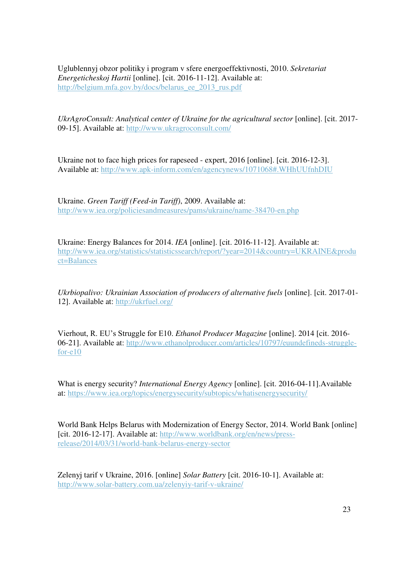Uglublennyj obzor politiky i program v sfere energoeffektivnosti, 2010. *Sekretariat Energeticheskoj Hartii* [online]. [cit. 2016-11-12]. Available at: [http://belgium.mfa.gov.by/docs/belarus\\_ee\\_2013\\_rus.pdf](http://belgium.mfa.gov.by/docs/belarus_ee_2013_rus.pdf) 

*UkrAgroConsult: Analytical center of Ukraine for the agricultural sector* [online]. [cit. 2017- 09-15]. Available at:<http://www.ukragroconsult.com/>

Ukraine not to face high prices for rapeseed - expert, 2016 [online]. [cit. 2016-12-3]. Available at:<http://www.apk-inform.com/en/agencynews/1071068#.WHhUUfnhDIU>

Ukraine. *Green Tariff (Feed-in Tariff)*, 2009. Available at: <http://www.iea.org/policiesandmeasures/pams/ukraine/name-38470-en.php>

Ukraine: Energy Balances for 2014. *IEA* [online]. [cit. 2016-11-12]. Available at: [http://www.iea.org/statistics/statisticssearch/report/?year=2014&country=UKRAINE&produ](http://www.iea.org/statistics/statisticssearch/report/?year=2014&country=UKRAINE&product=Balances) [ct=Balances](http://www.iea.org/statistics/statisticssearch/report/?year=2014&country=UKRAINE&product=Balances) 

*Ukrbiopalivo: Ukrainian Association of producers of alternative fuels* [online]. [cit. 2017-01- 12]. Available at:<http://ukrfuel.org/>

Vierhout, R. EU's Struggle for E10. *Ethanol Producer Magazine* [online]. 2014 [cit. 2016- 06-21]. Available at: [http://www.ethanolproducer.com/articles/10797/euundefineds-struggle](http://www.ethanolproducer.com/articles/10797/euundefineds-struggle-for-e10)[for-e10](http://www.ethanolproducer.com/articles/10797/euundefineds-struggle-for-e10) 

What is energy security? *International Energy Agency* [online]. [cit. 2016-04-11].Available at:<https://www.iea.org/topics/energysecurity/subtopics/whatisenergysecurity/>

World Bank Helps Belarus with Modernization of Energy Sector, 2014. World Bank [online] [cit. 2016-12-17]. Available at: [http://www.worldbank.org/en/news/press](http://www.worldbank.org/en/news/press-release/2014/03/31/world-bank-belarus-energy-sector)[release/2014/03/31/world-bank-belarus-energy-sector](http://www.worldbank.org/en/news/press-release/2014/03/31/world-bank-belarus-energy-sector) 

Zelenyj tarif v Ukraine, 2016. [online] *Solar Battery* [cit. 2016-10-1]. Available at: <http://www.solar-battery.com.ua/zelenyiy-tarif-v-ukraine/>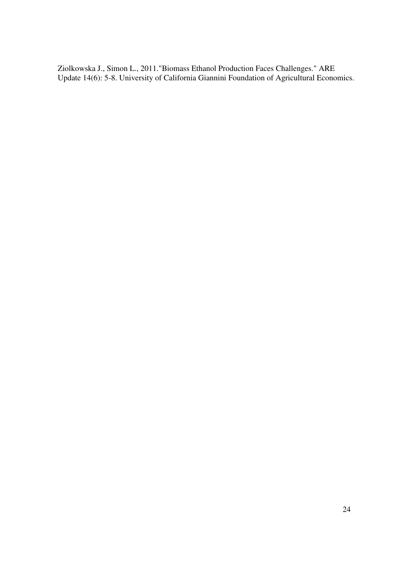Ziolkowska J., Simon L., 2011."Biomass Ethanol Production Faces Challenges." ARE Update 14(6): 5-8. University of California Giannini Foundation of Agricultural Economics.